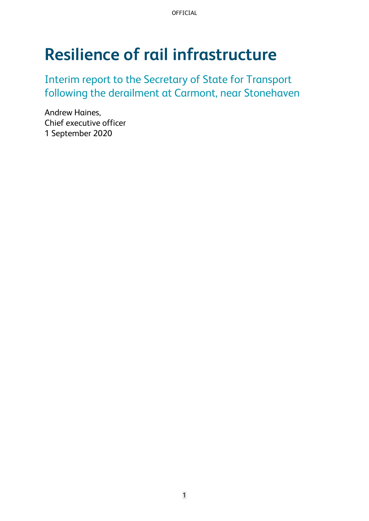# **Resilience of rail infrastructure**

Interim report to the Secretary of State for Transport following the derailment at Carmont, near Stonehaven

Andrew Haines, Chief executive officer 1 September 2020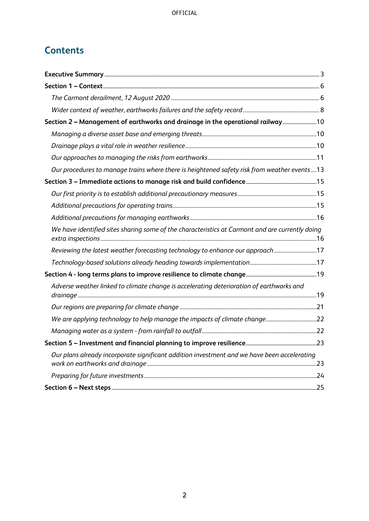# **Contents**

| Section 2 - Management of earthworks and drainage in the operational railway10                  |  |
|-------------------------------------------------------------------------------------------------|--|
|                                                                                                 |  |
|                                                                                                 |  |
|                                                                                                 |  |
| Our procedures to manage trains where there is heightened safety risk from weather events13     |  |
|                                                                                                 |  |
|                                                                                                 |  |
|                                                                                                 |  |
|                                                                                                 |  |
| We have identified sites sharing some of the characteristics at Carmont and are currently doing |  |
| Reviewing the latest weather forecasting technology to enhance our approach 17                  |  |
|                                                                                                 |  |
|                                                                                                 |  |
| Adverse weather linked to climate change is accelerating deterioration of earthworks and        |  |
|                                                                                                 |  |
| We are applying technology to help manage the impacts of climate change22                       |  |
|                                                                                                 |  |
|                                                                                                 |  |
| Our plans already incorporate significant addition investment and we have been accelerating     |  |
|                                                                                                 |  |
|                                                                                                 |  |
|                                                                                                 |  |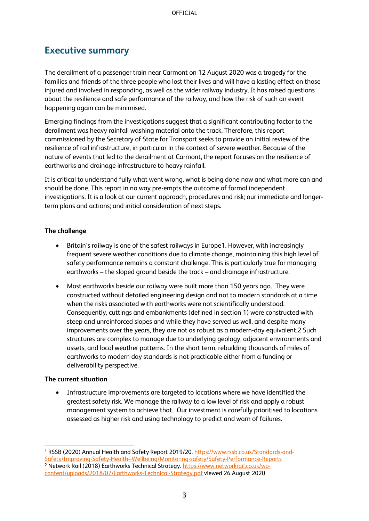## <span id="page-2-0"></span>**Executive summary**

The derailment of a passenger train near Carmont on 12 August 2020 was a tragedy for the families and friends of the three people who lost their lives and will have a lasting effect on those injured and involved in responding, as well as the wider railway industry. It has raised questions about the resilience and safe performance of the railway, and how the risk of such an event happening again can be minimised.

Emerging findings from the investigations suggest that a significant contributing factor to the derailment was heavy rainfall washing material onto the track. Therefore, this report commissioned by the Secretary of State for Transport seeks to provide an initial review of the resilience of rail infrastructure, in particular in the context of severe weather. Because of the nature of events that led to the derailment at Carmont, the report focuses on the resilience of earthworks and drainage infrastructure to heavy rainfall.

It is critical to understand fully what went wrong, what is being done now and what more can and should be done. This report in no way pre-empts the outcome of formal independent investigations. It is a look at our current approach, procedures and risk; our immediate and longerterm plans and actions; and initial consideration of next steps.

#### **The challenge**

- Britain's railway is one of the safest railways in Europe1. However, with increasingly frequent severe weather conditions due to climate change, maintaining this high level of safety performance remains a constant challenge. This is particularly true for managing earthworks – the sloped ground beside the track – and drainage infrastructure.
- Most earthworks beside our railway were built more than 150 years ago. They were constructed without detailed engineering design and not to modern standards at a time when the risks associated with earthworks were not scientifically understood. Consequently, cuttings and embankments (defined in section 1) were constructed with steep and unreinforced slopes and while they have served us well, and despite many improvements over the years, they are not as robust as a modern-day equivalent.2 Such structures are complex to manage due to underlying geology, adjacent environments and assets, and local weather patterns. In the short term, rebuilding thousands of miles of earthworks to modern day standards is not practicable either from a funding or deliverability perspective.

#### **The current situation**

• Infrastructure improvements are targeted to locations where we have identified the greatest safety risk. We manage the railway to a low level of risk and apply a robust management system to achieve that. Our investment is carefully prioritised to locations assessed as higher risk and using technology to predict and warn of failures.

<sup>&</sup>lt;sup>1</sup> RSSB (2020) Annual Health and Safety Report 2019/20. [https://www.rssb.co.uk/Standards-and-](https://www.rssb.co.uk/Standards-and-Safety/Improving-Safety-Health--Wellbeing/Monitoring-safety/Safety-Performance-Reports)[Safety/Improving-Safety-Health--Wellbeing/Monitoring-safety/Safety-Performance-Reports](https://www.rssb.co.uk/Standards-and-Safety/Improving-Safety-Health--Wellbeing/Monitoring-safety/Safety-Performance-Reports) <sup>2</sup> Network Rail (2018) Earthworks Technical Strategy. [https://www.networkrail.co.uk/wp](https://www.networkrail.co.uk/wp-content/uploads/2018/07/Earthworks-Technical-Strategy.pdf)[content/uploads/2018/07/Earthworks-Technical-Strategy.pdf](https://www.networkrail.co.uk/wp-content/uploads/2018/07/Earthworks-Technical-Strategy.pdf) viewed 26 August 2020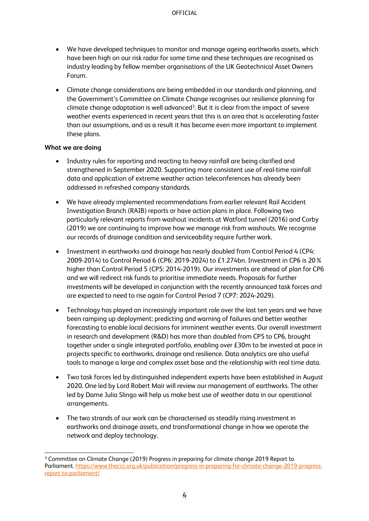- We have developed techniques to monitor and manage ageing earthworks assets, which have been high on our risk radar for some time and these techniques are recognised as industry leading by fellow member organisations of the UK Geotechnical Asset Owners Forum.
- Climate change considerations are being embedded in our standards and planning, and the Government's Committee on Climate Change recognises our resilience planning for  $climate$  change adaptation is well advanced<sup>3</sup>. But it is clear from the impact of severe weather events experienced in recent years that this is an area that is accelerating faster than our assumptions, and as a result it has become even more important to implement these plans.

#### **What we are doing**

- Industry rules for reporting and reacting to heavy rainfall are being clarified and strengthened in September 2020. Supporting more consistent use of real-time rainfall data and application of extreme weather action teleconferences has already been addressed in refreshed company standards.
- We have already implemented recommendations from earlier relevant Rail Accident Investigation Branch (RAIB) reports or have action plans in place. Following two particularly relevant reports from washout incidents at Watford tunnel (2016) and Corby (2019) we are continuing to improve how we manage risk from washouts. We recognise our records of drainage condition and serviceability require further work.
- Investment in earthworks and drainage has nearly doubled from Control Period 4 (CP4: 2009-2014) to Control Period 6 (CP6: 2019-2024) to £1.274bn. Investment in CP6 is 20% higher than Control Period 5 (CP5: 2014-2019). Our investments are ahead of plan for CP6 and we will redirect risk funds to prioritise immediate needs. Proposals for further investments will be developed in conjunction with the recently announced task forces and are expected to need to rise again for Control Period 7 (CP7: 2024-2029).
- Technology has played an increasingly important role over the last ten years and we have been ramping up deployment: predicting and warning of failures and better weather forecasting to enable local decisions for imminent weather events. Our overall investment in research and development (R&D) has more than doubled from CP5 to CP6, brought together under a single integrated portfolio, enabling over £30m to be invested at pace in projects specific to earthworks, drainage and resilience. Data analytics are also useful tools to manage a large and complex asset base and the relationship with real time data.
- Two task forces led by distinguished independent experts have been established in August 2020. One led by Lord Robert Mair will review our management of earthworks. The other led by Dame Julia Slingo will help us make best use of weather data in our operational arrangements.
- The two strands of our work can be characterised as steadily rising investment in earthworks and drainage assets, and transformational change in how we operate the network and deploy technology.

<sup>3</sup> Committee on Climate Change (2019) Progress in preparing for climate change 2019 Report to Parliament. [https://www.theccc.org.uk/publication/progress-in-preparing-for-climate-change-2019-progress](https://www.theccc.org.uk/publication/progress-in-preparing-for-climate-change-2019-progress-report-to-parliament/)[report-to-parliament/](https://www.theccc.org.uk/publication/progress-in-preparing-for-climate-change-2019-progress-report-to-parliament/)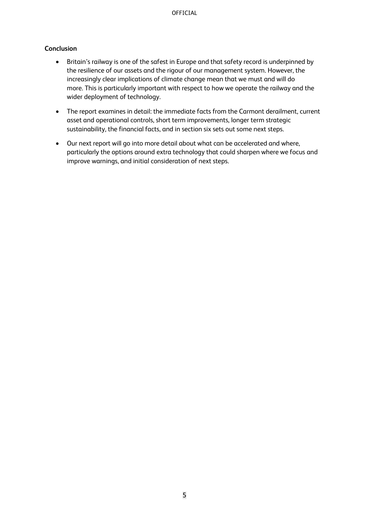#### **Conclusion**

- Britain's railway is one of the safest in Europe and that safety record is underpinned by the resilience of our assets and the rigour of our management system. However, the increasingly clear implications of climate change mean that we must and will do more. This is particularly important with respect to how we operate the railway and the wider deployment of technology.
- The report examines in detail: the immediate facts from the Carmont derailment, current asset and operational controls, short term improvements, longer term strategic sustainability, the financial facts, and in section six sets out some next steps.
- Our next report will go into more detail about what can be accelerated and where, particularly the options around extra technology that could sharpen where we focus and improve warnings, and initial consideration of next steps.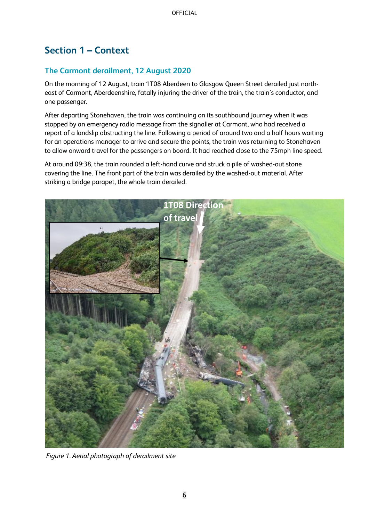# <span id="page-5-0"></span>**Section 1 – Context**

### <span id="page-5-1"></span>**The Carmont derailment, 12 August 2020**

On the morning of 12 August, train 1T08 Aberdeen to Glasgow Queen Street derailed just northeast of Carmont, Aberdeenshire, fatally injuring the driver of the train, the train's conductor, and one passenger.

After departing Stonehaven, the train was continuing on its southbound journey when it was stopped by an emergency radio message from the signaller at Carmont, who had received a report of a landslip obstructing the line. Following a period of around two and a half hours waiting for an operations manager to arrive and secure the points, the train was returning to Stonehaven to allow onward travel for the passengers on board. It had reached close to the 75mph line speed.

At around 09:38, the train rounded a left-hand curve and struck a pile of washed-out stone covering the line. The front part of the train was derailed by the washed-out material. After striking a bridge parapet, the whole train derailed.



*Figure 1. Aerial photograph of derailment site*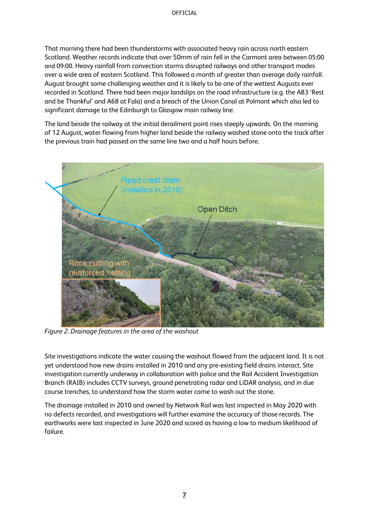That morning there had been thunderstorms with associated heavy rain across north eastern Scotland. Weather records indicate that over 50mm of rain fell in the Carmont area between 05:00 and 09:00. Heavy rainfall from convection storms disrupted railways and other transport modes over a wide area of eastern Scotland. This followed a month of greater than average daily rainfall. August brought some challenging weather and it is likely to be one of the wettest Augusts ever recorded in Scotland. There had been major landslips on the road infrastructure (e.g. the A83 'Rest and be Thankful' and A68 at Fala) and a breach of the Union Canal at Polmont which also led to significant damage to the Edinburgh to Glasgow main railway line.

The land beside the railway at the initial derailment point rises steeply upwards. On the morning of 12 August, water flowing from higher land beside the railway washed stone onto the track after the previous train had passed on the same line two and a half hours before.



*Figure 2. Drainage features in the area of the washout*

Site investigations indicate the water causing the washout flowed from the adjacent land. It is not yet understood how new drains installed in 2010 and any pre-existing field drains interact. Site investigation currently underway in collaboration with police and the Rail Accident Investigation Branch (RAIB) includes CCTV surveys, ground penetrating radar and LiDAR analysis, and in due course trenches, to understand how the storm water came to wash out the stone.

The drainage installed in 2010 and owned by Network Rail was last inspected in May 2020 with no defects recorded, and investigations will further examine the accuracy of those records. The earthworks were last inspected in June 2020 and scored as having a low to medium likelihood of failure.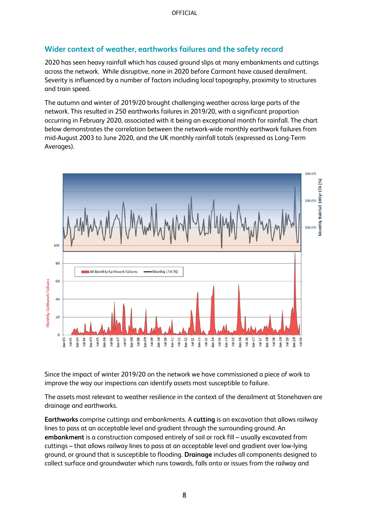### <span id="page-7-0"></span>**Wider context of weather, earthworks failures and the safety record**

2020 has seen heavy rainfall which has caused ground slips at many embankments and cuttings across the network. While disruptive, none in 2020 before Carmont have caused derailment. Severity is influenced by a number of factors including local topography, proximity to structures and train speed.

The autumn and winter of 2019/20 brought challenging weather across large parts of the network. This resulted in 250 earthworks failures in 2019/20, with a significant proportion occurring in February 2020, associated with it being an exceptional month for rainfall. The chart below demonstrates the correlation between the network-wide monthly earthwork failures from mid-August 2003 to June 2020, and the UK monthly rainfall totals (expressed as Long-Term Averages).



Since the impact of winter 2019/20 on the network we have commissioned a piece of work to improve the way our inspections can identify assets most susceptible to failure.

The assets most relevant to weather resilience in the context of the derailment at Stonehaven are drainage and earthworks.

**Earthworks** comprise cuttings and embankments. A **cutting** is an excavation that allows railway lines to pass at an acceptable level and gradient through the surrounding ground. An **embankment** is a construction composed entirely of soil or rock fill – usually excavated from cuttings – that allows railway lines to pass at an acceptable level and gradient over low-lying ground, or ground that is susceptible to flooding. **Drainage** includes all components designed to collect surface and groundwater which runs towards, falls onto or issues from the railway and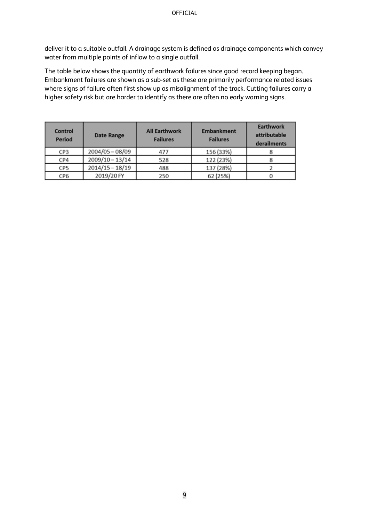deliver it to a suitable outfall. A drainage system is defined as drainage components which convey water from multiple points of inflow to a single outfall.

The table below shows the quantity of earthwork failures since good record keeping began. Embankment failures are shown as a sub-set as these are primarily performance related issues where signs of failure often first show up as misalignment of the track. Cutting failures carry a higher safety risk but are harder to identify as there are often no early warning signs.

| <b>Control</b><br>Period | <b>Date Range</b> | <b>All Earthwork</b><br><b>Failures</b> | <b>Embankment</b><br><b>Failures</b> | <b>Earthwork</b><br>attributable<br>derailments |
|--------------------------|-------------------|-----------------------------------------|--------------------------------------|-------------------------------------------------|
| CP3                      | $2004/05 - 08/09$ | 477                                     | 156 (33%)                            |                                                 |
| CP4                      | 2009/10-13/14     | 528                                     | 122 (23%)                            |                                                 |
| CP5                      | 2014/15 - 18/19   | 488                                     | 137 (28%)                            |                                                 |
| CP6                      | 2019/20 FY        | 250                                     | 62 (25%)                             |                                                 |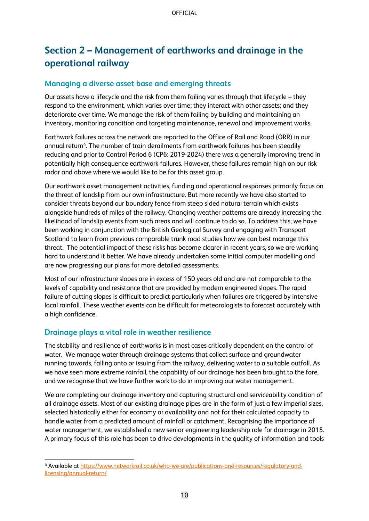# <span id="page-9-0"></span>**Section 2 – Management of earthworks and drainage in the operational railway**

### <span id="page-9-1"></span>**Managing a diverse asset base and emerging threats**

Our assets have a lifecycle and the risk from them failing varies through that lifecycle – they respond to the environment, which varies over time; they interact with other assets; and they deteriorate over time. We manage the risk of them failing by building and maintaining an inventory, monitoring condition and targeting maintenance, renewal and improvement works.

Earthwork failures across the network are reported to the Office of Rail and Road (ORR) in our annual return<sup>4</sup>. The number of train derailments from earthwork failures has been steadily reducing and prior to Control Period 6 (CP6: 2019-2024) there was a generally improving trend in potentially high consequence earthwork failures. However, these failures remain high on our risk radar and above where we would like to be for this asset group.

Our earthwork asset management activities, funding and operational responses primarily focus on the threat of landslip from our own infrastructure. But more recently we have also started to consider threats beyond our boundary fence from steep sided natural terrain which exists alongside hundreds of miles of the railway. Changing weather patterns are already increasing the likelihood of landslip events from such areas and will continue to do so. To address this, we have been working in conjunction with the British Geological Survey and engaging with Transport Scotland to learn from previous comparable trunk road studies how we can best manage this threat. The potential impact of these risks has become clearer in recent years, so we are working hard to understand it better. We have already undertaken some initial computer modelling and are now progressing our plans for more detailed assessments.

Most of our infrastructure slopes are in excess of 150 years old and are not comparable to the levels of capability and resistance that are provided by modern engineered slopes. The rapid failure of cutting slopes is difficult to predict particularly when failures are triggered by intensive local rainfall. These weather events can be difficult for meteorologists to forecast accurately with a high confidence.

### <span id="page-9-2"></span>**Drainage plays a vital role in weather resilience**

The stability and resilience of earthworks is in most cases critically dependent on the control of water. We manage water through drainage systems that collect surface and groundwater running towards, falling onto or issuing from the railway, delivering water to a suitable outfall. As we have seen more extreme rainfall, the capability of our drainage has been brought to the fore, and we recognise that we have further work to do in improving our water management.

We are completing our drainage inventory and capturing structural and serviceability condition of all drainage assets. Most of our existing drainage pipes are in the form of just a few imperial sizes, selected historically either for economy or availability and not for their calculated capacity to handle water from a predicted amount of rainfall or catchment. Recognising the importance of water management, we established a new senior engineering leadership role for drainage in 2015. A primary focus of this role has been to drive developments in the quality of information and tools

<sup>4</sup> Available at [https://www.networkrail.co.uk/who-we-are/publications-and-resources/regulatory-and](https://www.networkrail.co.uk/who-we-are/publications-and-resources/regulatory-and-licensing/annual-return/)[licensing/annual-return/](https://www.networkrail.co.uk/who-we-are/publications-and-resources/regulatory-and-licensing/annual-return/)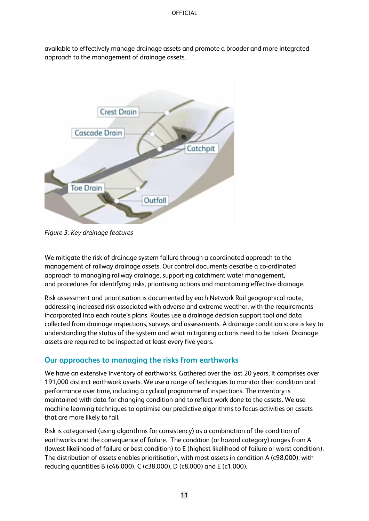available to effectively manage drainage assets and promote a broader and more integrated approach to the management of drainage assets.



*Figure 3: Key drainage features*

We mitigate the risk of drainage system failure through a coordinated approach to the management of railway drainage assets. Our control documents describe a co-ordinated approach to managing railway drainage, supporting catchment water management, and procedures for identifying risks, prioritising actions and maintaining effective drainage.

Risk assessment and prioritisation is documented by each Network Rail geographical route, addressing increased risk associated with adverse and extreme weather, with the requirements incorporated into each route's plans. Routes use a drainage decision support tool and data collected from drainage inspections, surveys and assessments. A drainage condition score is key to understanding the status of the system and what mitigating actions need to be taken. Drainage assets are required to be inspected at least every five years.

### <span id="page-10-0"></span>**Our approaches to managing the risks from earthworks**

We have an extensive inventory of earthworks. Gathered over the last 20 years, it comprises over 191,000 distinct earthwork assets. We use a range of techniques to monitor their condition and performance over time, including a cyclical programme of inspections. The inventory is maintained with data for changing condition and to reflect work done to the assets. We use machine learning techniques to optimise our predictive algorithms to focus activities on assets that are more likely to fail.

Risk is categorised (using algorithms for consistency) as a combination of the condition of earthworks and the consequence of failure. The condition (or hazard category) ranges from A (lowest likelihood of failure or best condition) to E (highest likelihood of failure or worst condition). The distribution of assets enables prioritisation, with most assets in condition A (c98,000), with reducing quantities B (c46,000), C (c38,000), D (c8,000) and E (c1,000).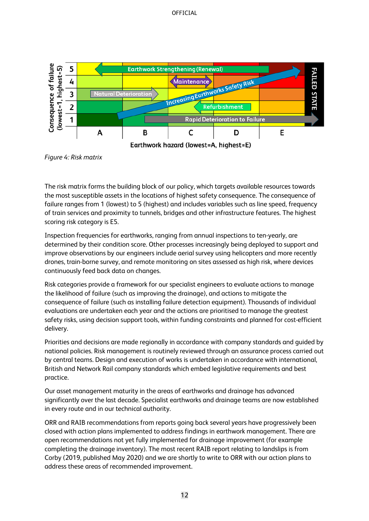#### **OFFICIAL**



*Figure 4: Risk matrix*

The risk matrix forms the building block of our policy, which targets available resources towards the most susceptible assets in the locations of highest safety consequence. The consequence of failure ranges from 1 (lowest) to 5 (highest) and includes variables such as line speed, frequency of train services and proximity to tunnels, bridges and other infrastructure features. The highest scoring risk category is E5.

Inspection frequencies for earthworks, ranging from annual inspections to ten-yearly, are determined by their condition score. Other processes increasingly being deployed to support and improve observations by our engineers include aerial survey using helicopters and more recently drones, train-borne survey, and remote monitoring on sites assessed as high risk, where devices continuously feed back data on changes.

Risk categories provide a framework for our specialist engineers to evaluate actions to manage the likelihood of failure (such as improving the drainage), and actions to mitigate the consequence of failure (such as installing failure detection equipment). Thousands of individual evaluations are undertaken each year and the actions are prioritised to manage the greatest safety risks, using decision support tools, within funding constraints and planned for cost-efficient delivery.

Priorities and decisions are made regionally in accordance with company standards and guided by national policies. Risk management is routinely reviewed through an assurance process carried out by central teams. Design and execution of works is undertaken in accordance with international, British and Network Rail company standards which embed legislative requirements and best practice.

Our asset management maturity in the areas of earthworks and drainage has advanced significantly over the last decade. Specialist earthworks and drainage teams are now established in every route and in our technical authority.

ORR and RAIB recommendations from reports going back several years have progressively been closed with action plans implemented to address findings in earthwork management. There are open recommendations not yet fully implemented for drainage improvement (for example completing the drainage inventory). The most recent RAIB report relating to landslips is from Corby (2019, published May 2020) and we are shortly to write to ORR with our action plans to address these areas of recommended improvement.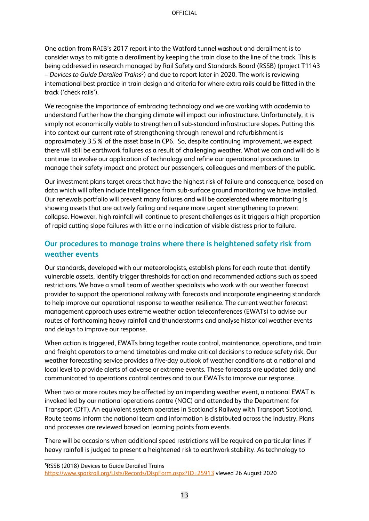One action from RAIB's 2017 report into the Watford tunnel washout and derailment is to consider ways to mitigate a derailment by keeping the train close to the line of the track. This is being addressed in research managed by Rail Safety and Standards Board (RSSB) (project T1143 – *Devices to Guide Derailed Trains*<sup>5</sup> ) and due to report later in 2020. The work is reviewing international best practice in train design and criteria for where extra rails could be fitted in the track ('check rails').

We recognise the importance of embracing technology and we are working with academia to understand further how the changing climate will impact our infrastructure. Unfortunately, it is simply not economically viable to strengthen all sub-standard infrastructure slopes. Putting this into context our current rate of strengthening through renewal and refurbishment is approximately 3.5% of the asset base in CP6. So, despite continuing improvement, we expect there will still be earthwork failures as a result of challenging weather. What we can and will do is continue to evolve our application of technology and refine our operational procedures to manage their safety impact and protect our passengers, colleagues and members of the public.

Our investment plans target areas that have the highest risk of failure and consequence, based on data which will often include intelligence from sub-surface ground monitoring we have installed. Our renewals portfolio will prevent many failures and will be accelerated where monitoring is showing assets that are actively failing and require more urgent strengthening to prevent collapse. However, high rainfall will continue to present challenges as it triggers a high proportion of rapid cutting slope failures with little or no indication of visible distress prior to failure.

### <span id="page-12-0"></span>**Our procedures to manage trains where there is heightened safety risk from weather events**

Our standards, developed with our meteorologists, establish plans for each route that identify vulnerable assets, identify trigger thresholds for action and recommended actions such as speed restrictions. We have a small team of weather specialists who work with our weather forecast provider to support the operational railway with forecasts and incorporate engineering standards to help improve our operational response to weather resilience. The current weather forecast management approach uses extreme weather action teleconferences (EWATs) to advise our routes of forthcoming heavy rainfall and thunderstorms and analyse historical weather events and delays to improve our response.

When action is triggered, EWATs bring together route control, maintenance, operations, and train and freight operators to amend timetables and make critical decisions to reduce safety risk. Our weather forecasting service provides a five-day outlook of weather conditions at a national and local level to provide alerts of adverse or extreme events. These forecasts are updated daily and communicated to operations control centres and to our EWATs to improve our response.

When two or more routes may be affected by an impending weather event, a national EWAT is invoked led by our national operations centre (NOC) and attended by the Department for Transport (DfT). An equivalent system operates in Scotland's Railway with Transport Scotland. Route teams inform the national team and information is distributed across the industry. Plans and processes are reviewed based on learning points from events.

There will be occasions when additional speed restrictions will be required on particular lines if heavy rainfall is judged to present a heightened risk to earthwork stability. As technology to

<sup>5</sup>RSSB (2018) Devices to Guide Derailed Trains <https://www.sparkrail.org/Lists/Records/DispForm.aspx?ID=25913> viewed 26 August 2020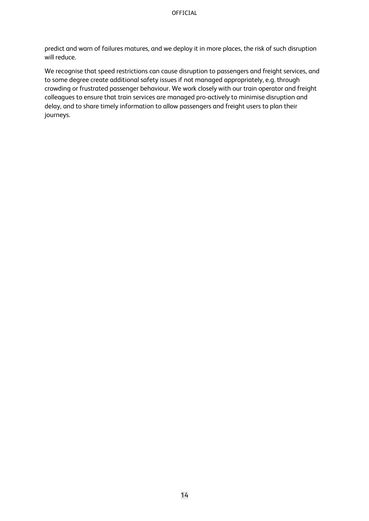predict and warn of failures matures, and we deploy it in more places, the risk of such disruption will reduce.

We recognise that speed restrictions can cause disruption to passengers and freight services, and to some degree create additional safety issues if not managed appropriately, e.g. through crowding or frustrated passenger behaviour. We work closely with our train operator and freight colleagues to ensure that train services are managed pro-actively to minimise disruption and delay, and to share timely information to allow passengers and freight users to plan their journeys.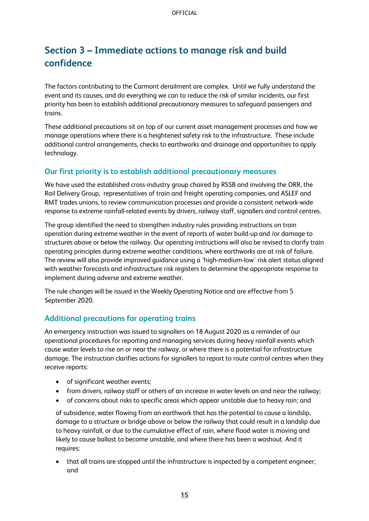# <span id="page-14-0"></span>**Section 3 – Immediate actions to manage risk and build confidence**

The factors contributing to the Carmont derailment are complex. Until we fully understand the event and its causes, and do everything we can to reduce the risk of similar incidents, our first priority has been to establish additional precautionary measures to safeguard passengers and trains.

These additional precautions sit on top of our current asset management processes and how we manage operations where there is a heightened safety risk to the infrastructure. These include additional control arrangements, checks to earthworks and drainage and opportunities to apply technology.

### <span id="page-14-1"></span>**Our first priority is to establish additional precautionary measures**

We have used the established cross-industry group chaired by RSSB and involving the ORR, the Rail Delivery Group, representatives of train and freight operating companies, and ASLEF and RMT trades unions, to review communication processes and provide a consistent network-wide response to extreme rainfall-related events by drivers, railway staff, signallers and control centres.

The group identified the need to strengthen industry rules providing instructions on train operation during extreme weather in the event of reports of water build-up and /or damage to structures above or below the railway. Our operating instructions will also be revised to clarify train operating principles during extreme weather conditions, where earthworks are at risk of failure. The review will also provide improved guidance using a 'high-medium-low' risk alert status aligned with weather forecasts and infrastructure risk registers to determine the appropriate response to implement during adverse and extreme weather.

The rule changes will be issued in the Weekly Operating Notice and are effective from 5 September 2020.

### <span id="page-14-2"></span>**Additional precautions for operating trains**

An emergency instruction was issued to signallers on 18 August 2020 as a reminder of our operational procedures for reporting and managing services during heavy rainfall events which cause water levels to rise on or near the railway, or where there is a potential for infrastructure damage. The instruction clarifies actions for signallers to report to route control centres when they receive reports:

- of significant weather events;
- from drivers, railway staff or others of an increase in water levels on and near the railway;
- of concerns about risks to specific areas which appear unstable due to heavy rain; and

of subsidence, water flowing from an earthwork that has the potential to cause a landslip, damage to a structure or bridge above or below the railway that could result in a landslip due to heavy rainfall, or due to the cumulative effect of rain, where flood water is moving and likely to cause ballast to become unstable, and where there has been a washout. And it requires:

• that all trains are stopped until the infrastructure is inspected by a competent engineer; and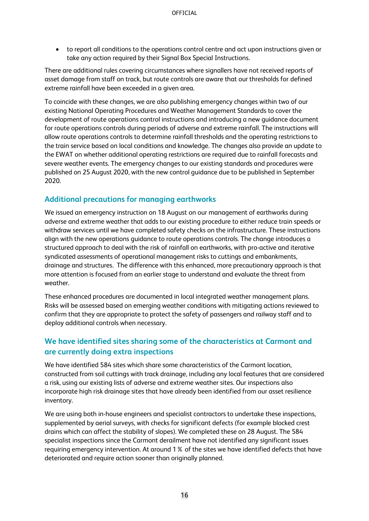• to report all conditions to the operations control centre and act upon instructions given or take any action required by their Signal Box Special Instructions.

There are additional rules covering circumstances where signallers have not received reports of asset damage from staff on track, but route controls are aware that our thresholds for defined extreme rainfall have been exceeded in a given area.

To coincide with these changes, we are also publishing emergency changes within two of our existing National Operating Procedures and Weather Management Standards to cover the development of route operations control instructions and introducing a new guidance document for route operations controls during periods of adverse and extreme rainfall. The instructions will allow route operations controls to determine rainfall thresholds and the operating restrictions to the train service based on local conditions and knowledge. The changes also provide an update to the EWAT on whether additional operating restrictions are required due to rainfall forecasts and severe weather events. The emergency changes to our existing standards and procedures were published on 25 August 2020, with the new control guidance due to be published in September 2020.

### <span id="page-15-0"></span>**Additional precautions for managing earthworks**

We issued an emergency instruction on 18 August on our management of earthworks during adverse and extreme weather that adds to our existing procedure to either reduce train speeds or withdraw services until we have completed safety checks on the infrastructure. These instructions align with the new operations guidance to route operations controls. The change introduces a structured approach to deal with the risk of rainfall on earthworks, with pro-active and iterative syndicated assessments of operational management risks to cuttings and embankments, drainage and structures. The difference with this enhanced, more precautionary approach is that more attention is focused from an earlier stage to understand and evaluate the threat from weather.

These enhanced procedures are documented in local integrated weather management plans. Risks will be assessed based on emerging weather conditions with mitigating actions reviewed to confirm that they are appropriate to protect the safety of passengers and railway staff and to deploy additional controls when necessary.

### <span id="page-15-1"></span>**We have identified sites sharing some of the characteristics at Carmont and are currently doing extra inspections**

We have identified 584 sites which share some characteristics of the Carmont location, constructed from soil cuttings with track drainage, including any local features that are considered a risk, using our existing lists of adverse and extreme weather sites. Our inspections also incorporate high risk drainage sites that have already been identified from our asset resilience inventory.

We are using both in-house engineers and specialist contractors to undertake these inspections, supplemented by aerial surveys, with checks for significant defects (for example blocked crest drains which can affect the stability of slopes). We completed these on 28 August. The 584 specialist inspections since the Carmont derailment have not identified any significant issues requiring emergency intervention. At around 1% of the sites we have identified defects that have deteriorated and require action sooner than originally planned.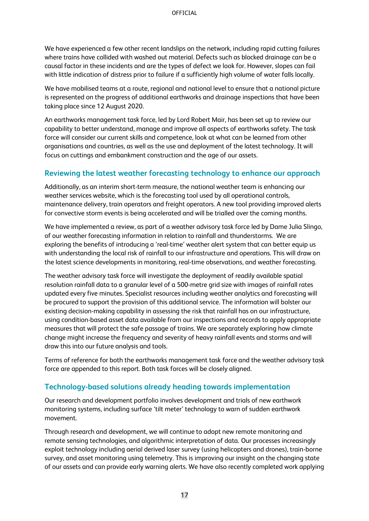We have experienced a few other recent landslips on the network, including rapid cutting failures where trains have collided with washed out material. Defects such as blocked drainage can be a causal factor in these incidents and are the types of defect we look for. However, slopes can fail with little indication of distress prior to failure if a sufficiently high volume of water falls locally.

We have mobilised teams at a route, regional and national level to ensure that a national picture is represented on the progress of additional earthworks and drainage inspections that have been taking place since 12 August 2020.

An earthworks management task force, led by Lord Robert Mair, has been set up to review our capability to better understand, manage and improve all aspects of earthworks safety. The task force will consider our current skills and competence, look at what can be learned from other organisations and countries, as well as the use and deployment of the latest technology. It will focus on cuttings and embankment construction and the age of our assets.

### <span id="page-16-0"></span>**Reviewing the latest weather forecasting technology to enhance our approach**

Additionally, as an interim short-term measure, the national weather team is enhancing our weather services website, which is the forecasting tool used by all operational controls, maintenance delivery, train operators and freight operators. A new tool providing improved alerts for convective storm events is being accelerated and will be trialled over the coming months.

We have implemented a review, as part of a weather advisory task force led by Dame Julia Slingo, of our weather forecasting information in relation to rainfall and thunderstorms. We are exploring the benefits of introducing a 'real-time' weather alert system that can better equip us with understanding the local risk of rainfall to our infrastructure and operations. This will draw on the latest science developments in monitoring, real-time observations, and weather forecasting.

The weather advisory task force will investigate the deployment of readily available spatial resolution rainfall data to a granular level of a 500-metre grid size with images of rainfall rates updated every five minutes. Specialist resources including weather analytics and forecasting will be procured to support the provision of this additional service. The information will bolster our existing decision-making capability in assessing the risk that rainfall has on our infrastructure, using condition-based asset data available from our inspections and records to apply appropriate measures that will protect the safe passage of trains. We are separately exploring how climate change might increase the frequency and severity of heavy rainfall events and storms and will draw this into our future analysis and tools.

Terms of reference for both the earthworks management task force and the weather advisory task force are appended to this report. Both task forces will be closely aligned.

### <span id="page-16-1"></span>**Technology-based solutions already heading towards implementation**

Our research and development portfolio involves development and trials of new earthwork monitoring systems, including surface 'tilt meter' technology to warn of sudden earthwork movement.

Through research and development, we will continue to adopt new remote monitoring and remote sensing technologies, and algorithmic interpretation of data. Our processes increasingly exploit technology including aerial derived laser survey (using helicopters and drones), train-borne survey, and asset monitoring using telemetry. This is improving our insight on the changing state of our assets and can provide early warning alerts. We have also recently completed work applying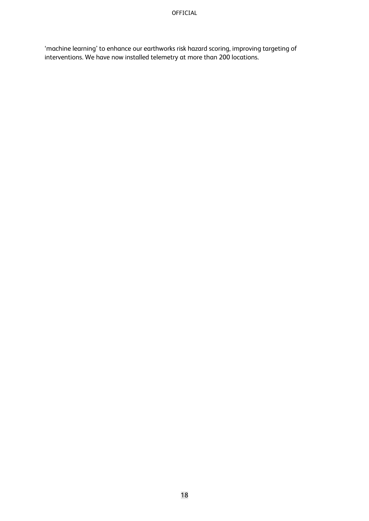'machine learning' to enhance our earthworks risk hazard scoring, improving targeting of interventions. We have now installed telemetry at more than 200 locations.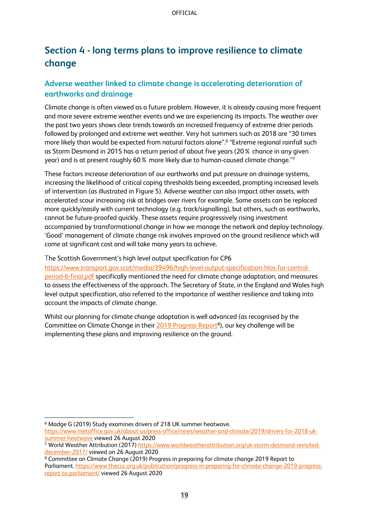# <span id="page-18-0"></span>**Section 4 - long terms plans to improve resilience to climate change**

### <span id="page-18-1"></span>**Adverse weather linked to climate change is accelerating deterioration of earthworks and drainage**

Climate change is often viewed as a future problem. However, it is already causing more frequent and more severe extreme weather events and we are experiencing its impacts. The weather over the past two years shows clear trends towards an increased frequency of extreme drier periods followed by prolonged and extreme wet weather. Very hot summers such as 2018 are "30 times more likely than would be expected from natural factors alone". 6 "Extreme regional rainfall such as Storm Desmond in 2015 has a return period of about five years (20% chance in any given year) and is at present roughly 60% more likely due to human-caused climate change." 7

These factors increase deterioration of our earthworks and put pressure on drainage systems, increasing the likelihood of critical coping thresholds being exceeded, prompting increased levels of intervention (as illustrated in Figure 5). Adverse weather can also impact other assets, with accelerated scour increasing risk at bridges over rivers for example. Some assets can be replaced more quickly/easily with current technology (e.g. track/signalling), but others, such as earthworks, cannot be future-proofed quickly. These assets require progressively rising investment accompanied by transformational change in how we manage the network and deploy technology. 'Good' management of climate change risk involves improved on the ground resilience which will come at significant cost and will take many years to achieve.

The Scottish Government's high level output specification for CP6

[https://www.transport.gov.scot/media/39496/high-level-output-specification-hlos-for-control](https://www.transport.gov.scot/media/39496/high-level-output-specification-hlos-for-control-period-6-final.pdf)[period-6-final.pdf](https://www.transport.gov.scot/media/39496/high-level-output-specification-hlos-for-control-period-6-final.pdf) specifically mentioned the need for climate change adaptation, and measures to assess the effectiveness of the approach. The Secretary of State, in the England and Wales high level output specification, also referred to the importance of weather resilience and taking into account the impacts of climate change.

Whilst our planning for climate change adaptation is well advanced (as recognised by the Committee on Climate Change in their [2019 Progress Report](https://www.theccc.org.uk/publication/progress-in-preparing-for-climate-change-2019-progress-report-to-parliament/)<sup>8</sup>), our key challenge will be implementing these plans and improving resilience on the ground.

<sup>6</sup> Madge G (2019) Study examines drivers of 218 UK summer heatwave.

[https://www.metoffice.gov.uk/about-us/press-office/news/weather-and-climate/2019/drivers-for-2018-uk](https://www.metoffice.gov.uk/about-us/press-office/news/weather-and-climate/2019/drivers-for-2018-uk-summer-heatwave)[summer-heatwave](https://www.metoffice.gov.uk/about-us/press-office/news/weather-and-climate/2019/drivers-for-2018-uk-summer-heatwave) viewed 26 August 2020

<sup>&</sup>lt;sup>7</sup> World Weather Attribution (2017) [https://www.worldweatherattribution.org/uk-storm-desmond-revisited](https://www.worldweatherattribution.org/uk-storm-desmond-revisited-december-2017/)[december-2017/](https://www.worldweatherattribution.org/uk-storm-desmond-revisited-december-2017/) viewed on 26 August 2020

<sup>8</sup> Committee on Climate Change (2019) Progress in preparing for climate change 2019 Report to Parliament. https://www.theccc.org.uk/publication/progress-in-preparing-for-climate-change-2019-progressreport-to-parliament/ viewed 26 August 2020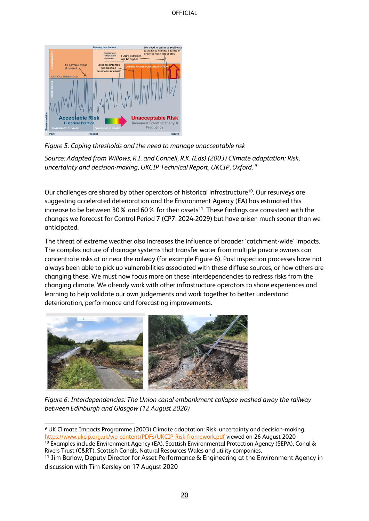

#### *Figure 5: Coping thresholds and the need to manage unacceptable risk*

*Source: Adapted from Willows, R.I. and Connell, R.K. (Eds) (2003) Climate adaptation: Risk, uncertainty and decision-making, UKCIP Technical Report, UKCIP, Oxford.* <sup>9</sup>

Our challenges are shared by other operators of historical infrastructure<sup>10</sup>. Our resurveys are suggesting accelerated deterioration and the Environment Agency (EA) has estimated this increase to be between 30% and 60% for their assets<sup>11</sup>. These findings are consistent with the changes we forecast for Control Period 7 (CP7: 2024-2029) but have arisen much sooner than we anticipated.

The threat of extreme weather also increases the influence of broader 'catchment-wide' impacts. The complex nature of drainage systems that transfer water from multiple private owners can concentrate risks at or near the railway (for example Figure 6). Past inspection processes have not always been able to pick up vulnerabilities associated with these diffuse sources, or how others are changing these. We must now focus more on these interdependencies to redress risks from the changing climate. We already work with other infrastructure operators to share experiences and learning to help validate our own judgements and work together to better understand deterioration, performance and forecasting improvements.



*Figure 6: Interdependencies: The Union canal embankment collapse washed away the railway between Edinburgh and Glasgow (12 August 2020)*

Rivers Trust (C&RT), Scottish Canals, Natural Resources Wales and utility companies.

<sup>9</sup> UK Climate Impacts Programme (2003) Climate adaptation: Risk, uncertainty and decision-making. <https://www.ukcip.org.uk/wp-content/PDFs/UKCIP-Risk-framework.pdf> viewed on 26 August 2020 <sup>10</sup> Examples include Environment Agency (EA), Scottish Environmental Protection Agency (SEPA), Canal &

<sup>11</sup> Jim Barlow, Deputy Director for Asset Performance & Engineering at the Environment Agency in discussion with Tim Kersley on 17 August 2020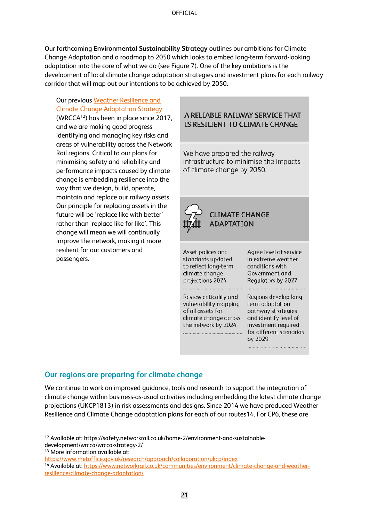Our forthcoming **Environmental Sustainability Strategy** outlines our ambitions for Climate Change Adaptation and a roadmap to 2050 which looks to embed long-term forward-looking adaptation into the core of what we do (see Figure 7). One of the key ambitions is the development of local climate change adaptation strategies and investment plans for each railway corridor that will map out our intentions to be achieved by 2050.

### Our previous [Weather Resilience and](https://safety.networkrail.co.uk/home-2/environment-and-sustainable-development/wrcca/wrcca-strategy-2/)  [Climate Change Adaptation Strategy](https://safety.networkrail.co.uk/home-2/environment-and-sustainable-development/wrcca/wrcca-strategy-2/)

(WRCCA<sup>12</sup>) has been in place since 2017, and we are making good progress identifying and managing key risks and areas of vulnerability across the Network Rail regions. Critical to our plans for minimising safety and reliability and performance impacts caused by climate change is embedding resilience into the way that we design, build, operate, maintain and replace our railway assets. Our principle for replacing assets in the future will be 'replace like with better' rather than 'replace like for like'. This change will mean we will continually improve the network, making it more resilient for our customers and passengers.

#### A RELIABLE RAILWAY SERVICE THAT IS RESILIENT TO CLIMATE CHANGE

We have prepared the railway infrastructure to minimise the impacts of climate change by 2050.



Asset polices and standards updated to reflect long-term climate change projections 2024

...........................

Agree level of service in extreme weather conditions with Government and Regulators by 2027

..........................

Review criticality and vulnerability mapping of all assets for climate change across the network by 2024 

Regions develop long term adaptation pathway strategies and identify level of investment required for different scenarios by 2029

### <span id="page-20-0"></span>**Our regions are preparing for climate change**

We continue to work on improved guidance, tools and research to support the integration of climate change within business-as-usual activities including embedding the latest climate change projections (UKCP1813) in risk assessments and designs. Since 2014 we have produced Weather Resilience and Climate Change adaptation plans for each of our routes14. For CP6, these are

<sup>13</sup> More information available at:

<sup>12</sup> Available at: https://safety.networkrail.co.uk/home-2/environment-and-sustainabledevelopment/wrcca/wrcca-strategy-2/

https://www.metoffice.gov.uk/research/approach/collaboration/ukcp/index

<sup>&</sup>lt;sup>14</sup> Available at: https://www.networkrail.co.uk/communities/environment/climate-change-and-weatherresilience/climate-change-adaptation/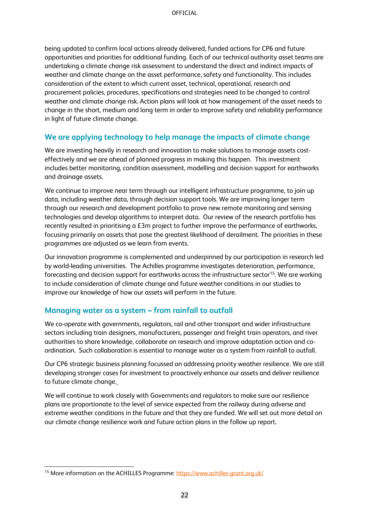being updated to confirm local actions already delivered, funded actions for CP6 and future opportunities and priorities for additional funding. Each of our technical authority asset teams are undertaking a climate change risk assessment to understand the direct and indirect impacts of weather and climate change on the asset performance, safety and functionality. This includes consideration of the extent to which current asset, technical, operational, research and procurement policies, procedures, specifications and strategies need to be changed to control weather and climate change risk. Action plans will look at how management of the asset needs to change in the short, medium and long term in order to improve safety and reliability performance in light of future climate change.

### <span id="page-21-0"></span>**We are applying technology to help manage the impacts of climate change**

We are investing heavily in research and innovation to make solutions to manage assets costeffectively and we are ahead of planned progress in making this happen. This investment includes better monitoring, condition assessment, modelling and decision support for earthworks and drainage assets.

We continue to improve near term through our intelligent infrastructure programme, to join up data, including weather data, through decision support tools. We are improving longer term through our research and development portfolio to prove new remote monitoring and sensing technologies and develop algorithms to interpret data. Our review of the research portfolio has recently resulted in prioritising a £3m project to further improve the performance of earthworks, focusing primarily on assets that pose the greatest likelihood of derailment. The priorities in these programmes are adjusted as we learn from events.

Our innovation programme is complemented and underpinned by our participation in research led by world-leading universities. The Achilles programme investigates deterioration, performance, forecasting and decision support for earthworks across the infrastructure sector<sup>15</sup>. We are working to include consideration of climate change and future weather conditions in our studies to improve our knowledge of how our assets will perform in the future.

### <span id="page-21-1"></span>**Managing water as a system – from rainfall to outfall**

We co-operate with governments, regulators, rail and other transport and wider infrastructure sectors including train designers, manufacturers, passenger and freight train operators, and river authorities to share knowledge, collaborate on research and improve adaptation action and coordination. Such collaboration is essential to manage water as a system from rainfall to outfall.

Our CP6 strategic business planning focussed on addressing priority weather resilience. We are still developing stronger cases for investment to proactively enhance our assets and deliver resilience to future climate change.

We will continue to work closely with Governments and regulators to make sure our resilience plans are proportionate to the level of service expected from the railway during adverse and extreme weather conditions in the future and that they are funded. We will set out more detail on our climate change resilience work and future action plans in the follow up report.

<sup>15</sup> More information on the ACHILLES Programme: https://www.achilles-grant.org.uk/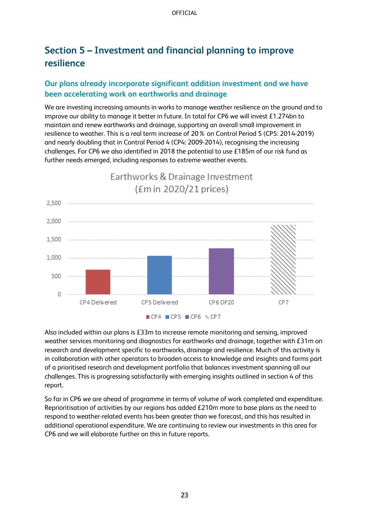# <span id="page-22-0"></span>**Section 5 – Investment and financial planning to improve resilience**

### <span id="page-22-1"></span>**Our plans already incorporate significant addition investment and we have been accelerating work on earthworks and drainage**

We are investing increasing amounts in works to manage weather resilience on the ground and to improve our ability to manage it better in future. In total for CP6 we will invest £1.274bn to maintain and renew earthworks and drainage, supporting an overall small improvement in resilience to weather. This is a real term increase of 20% on Control Period 5 (CP5: 2014-2019) and nearly doubling that in Control Period 4 (CP4: 2009-2014), recognising the increasing challenges. For CP6 we also identified in 2018 the potential to use £185m of our risk fund as further needs emerged, including responses to extreme weather events.



Also included within our plans is £33m to increase remote monitoring and sensing, improved weather services monitoring and diagnostics for earthworks and drainage, together with £31m on research and development specific to earthworks, drainage and resilience. Much of this activity is in collaboration with other operators to broaden access to knowledge and insights and forms part of a prioritised research and development portfolio that balances investment spanning all our challenges. This is progressing satisfactorily with emerging insights outlined in section 4 of this report.

So far in CP6 we are ahead of programme in terms of volume of work completed and expenditure. Reprioritisation of activities by our regions has added £210m more to base plans as the need to respond to weather-related events has been greater than we forecast, and this has resulted in additional operational expenditure. We are continuing to review our investments in this area for CP6 and we will elaborate further on this in future reports.

23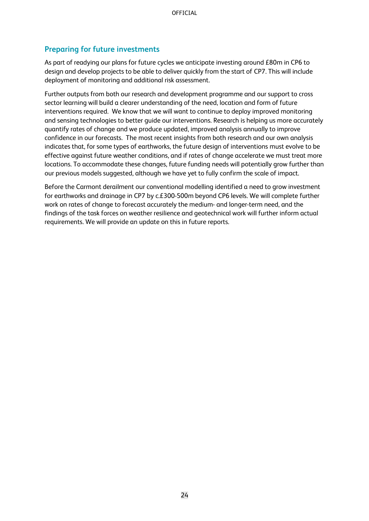### <span id="page-23-0"></span>**Preparing for future investments**

As part of readying our plans for future cycles we anticipate investing around £80m in CP6 to design and develop projects to be able to deliver quickly from the start of CP7. This will include deployment of monitoring and additional risk assessment.

Further outputs from both our research and development programme and our support to cross sector learning will build a clearer understanding of the need, location and form of future interventions required. We know that we will want to continue to deploy improved monitoring and sensing technologies to better guide our interventions. Research is helping us more accurately quantify rates of change and we produce updated, improved analysis annually to improve confidence in our forecasts. The most recent insights from both research and our own analysis indicates that, for some types of earthworks, the future design of interventions must evolve to be effective against future weather conditions, and if rates of change accelerate we must treat more locations. To accommodate these changes, future funding needs will potentially grow further than our previous models suggested, although we have yet to fully confirm the scale of impact.

Before the Carmont derailment our conventional modelling identified a need to grow investment for earthworks and drainage in CP7 by c.£300-500m beyond CP6 levels. We will complete further work on rates of change to forecast accurately the medium- and longer-term need, and the findings of the task forces on weather resilience and geotechnical work will further inform actual requirements. We will provide an update on this in future reports.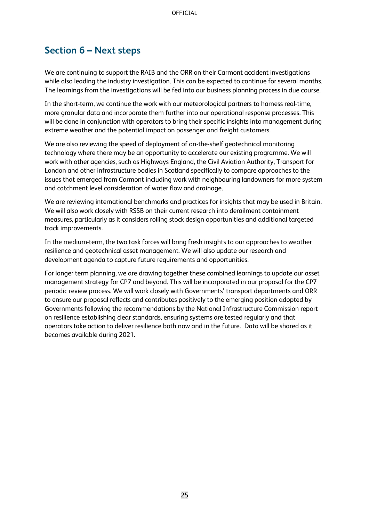## <span id="page-24-0"></span>**Section 6 – Next steps**

We are continuing to support the RAIB and the ORR on their Carmont accident investigations while also leading the industry investigation. This can be expected to continue for several months. The learnings from the investigations will be fed into our business planning process in due course.

In the short-term, we continue the work with our meteorological partners to harness real-time, more granular data and incorporate them further into our operational response processes. This will be done in conjunction with operators to bring their specific insights into management during extreme weather and the potential impact on passenger and freight customers.

We are also reviewing the speed of deployment of on-the-shelf geotechnical monitoring technology where there may be an opportunity to accelerate our existing programme. We will work with other agencies, such as Highways England, the Civil Aviation Authority, Transport for London and other infrastructure bodies in Scotland specifically to compare approaches to the issues that emerged from Carmont including work with neighbouring landowners for more system and catchment level consideration of water flow and drainage.

We are reviewing international benchmarks and practices for insights that may be used in Britain. We will also work closely with RSSB on their current research into derailment containment measures, particularly as it considers rolling stock design opportunities and additional targeted track improvements.

In the medium-term, the two task forces will bring fresh insights to our approaches to weather resilience and geotechnical asset management. We will also update our research and development agenda to capture future requirements and opportunities.

For longer term planning, we are drawing together these combined learnings to update our asset management strategy for CP7 and beyond. This will be incorporated in our proposal for the CP7 periodic review process. We will work closely with Governments' transport departments and ORR to ensure our proposal reflects and contributes positively to the emerging position adopted by Governments following the recommendations by the National Infrastructure Commission report on resilience establishing clear standards, ensuring systems are tested regularly and that operators take action to deliver resilience both now and in the future. Data will be shared as it becomes available during 2021.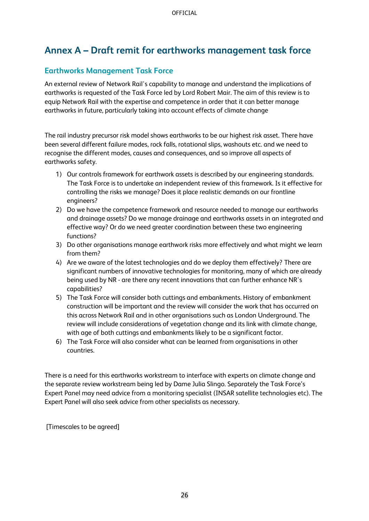# **Annex A – Draft remit for earthworks management task force**

### **Earthworks Management Task Force**

An external review of Network Rail's capability to manage and understand the implications of earthworks is requested of the Task Force led by Lord Robert Mair. The aim of this review is to equip Network Rail with the expertise and competence in order that it can better manage earthworks in future, particularly taking into account effects of climate change

The rail industry precursor risk model shows earthworks to be our highest risk asset. There have been several different failure modes, rock falls, rotational slips, washouts etc. and we need to recognise the different modes, causes and consequences, and so improve all aspects of earthworks safety.

- 1) Our controls framework for earthwork assets is described by our engineering standards. The Task Force is to undertake an independent review of this framework. Is it effective for controlling the risks we manage? Does it place realistic demands on our frontline engineers?
- 2) Do we have the competence framework and resource needed to manage our earthworks and drainage assets? Do we manage drainage and earthworks assets in an integrated and effective way? Or do we need greater coordination between these two engineering functions?
- 3) Do other organisations manage earthwork risks more effectively and what might we learn from them?
- 4) Are we aware of the latest technologies and do we deploy them effectively? There are significant numbers of innovative technologies for monitoring, many of which are already being used by NR - are there any recent innovations that can further enhance NR's capabilities?
- 5) The Task Force will consider both cuttings and embankments. History of embankment construction will be important and the review will consider the work that has occurred on this across Network Rail and in other organisations such as London Underground. The review will include considerations of vegetation change and its link with climate change, with age of both cuttings and embankments likely to be a significant factor.
- 6) The Task Force will also consider what can be learned from organisations in other countries.

There is a need for this earthworks workstream to interface with experts on climate change and the separate review workstream being led by Dame Julia Slingo. Separately the Task Force's Expert Panel may need advice from a monitoring specialist (INSAR satellite technologies etc). The Expert Panel will also seek advice from other specialists as necessary.

[Timescales to be agreed]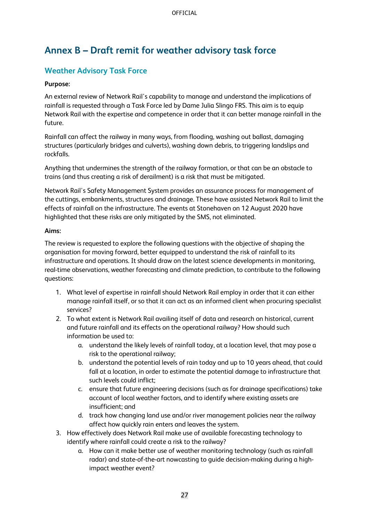# **Annex B – Draft remit for weather advisory task force**

### **Weather Advisory Task Force**

#### **Purpose:**

An external review of Network Rail's capability to manage and understand the implications of rainfall is requested through a Task Force led by Dame Julia Slingo FRS. This aim is to equip Network Rail with the expertise and competence in order that it can better manage rainfall in the future.

Rainfall can affect the railway in many ways, from flooding, washing out ballast, damaging structures (particularly bridges and culverts), washing down debris, to triggering landslips and rockfalls.

Anything that undermines the strength of the railway formation, or that can be an obstacle to trains (and thus creating a risk of derailment) is a risk that must be mitigated.

Network Rail's Safety Management System provides an assurance process for management of the cuttings, embankments, structures and drainage. These have assisted Network Rail to limit the effects of rainfall on the infrastructure. The events at Stonehaven on 12 August 2020 have highlighted that these risks are only mitigated by the SMS, not eliminated.

#### **Aims:**

The review is requested to explore the following questions with the objective of shaping the organisation for moving forward, better equipped to understand the risk of rainfall to its infrastructure and operations. It should draw on the latest science developments in monitoring, real-time observations, weather forecasting and climate prediction, to contribute to the following questions:

- 1. What level of expertise in rainfall should Network Rail employ in order that it can either manage rainfall itself, or so that it can act as an informed client when procuring specialist services?
- 2. To what extent is Network Rail availing itself of data and research on historical, current and future rainfall and its effects on the operational railway? How should such information be used to:
	- a. understand the likely levels of rainfall today, at a location level, that may pose a risk to the operational railway;
	- b. understand the potential levels of rain today and up to 10 years ahead, that could fall at a location, in order to estimate the potential damage to infrastructure that such levels could inflict;
	- c. ensure that future engineering decisions (such as for drainage specifications) take account of local weather factors, and to identify where existing assets are insufficient; and
	- d. track how changing land use and/or river management policies near the railway affect how quickly rain enters and leaves the system.
- 3. How effectively does Network Rail make use of available forecasting technology to identify where rainfall could create a risk to the railway?
	- a. How can it make better use of weather monitoring technology (such as rainfall radar) and state-of-the-art nowcasting to guide decision-making during a highimpact weather event?